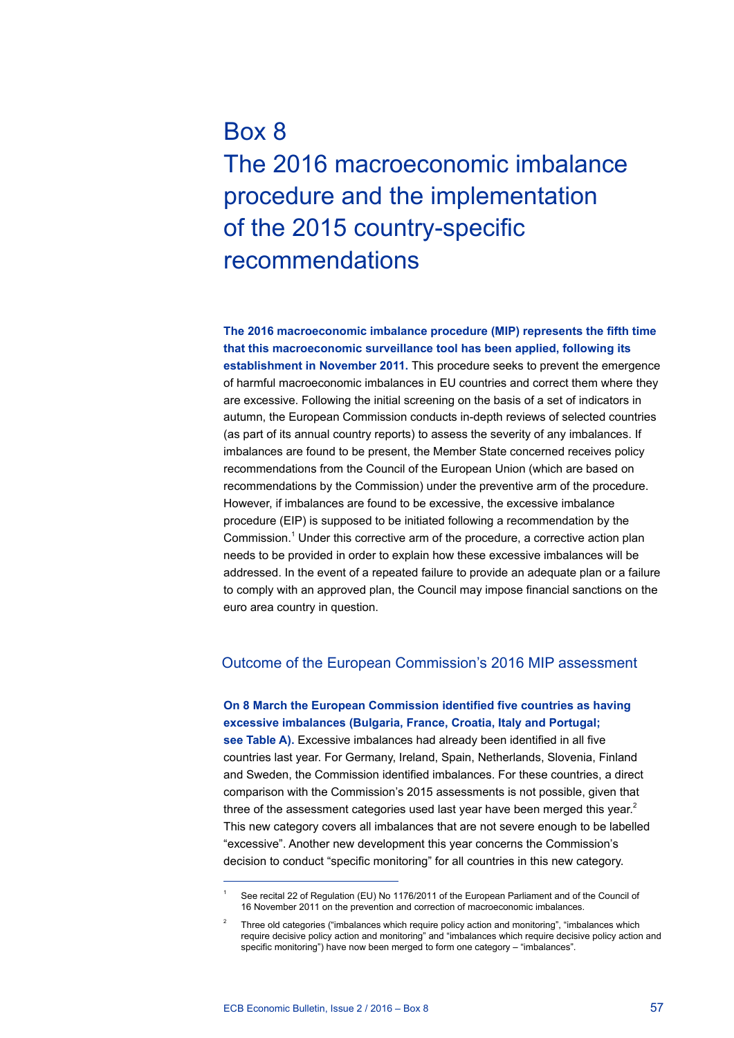# Box 8 The 2016 macroeconomic imbalance procedure and the implementation of the 2015 country-specific recommendations

**The 2016 macroeconomic imbalance procedure (MIP) represents the fifth time that this macroeconomic surveillance tool has been applied, following its establishment in November 2011.** This procedure seeks to prevent the emergence of harmful macroeconomic imbalances in EU countries and correct them where they are excessive. Following the initial screening on the basis of a set of indicators in autumn, the European Commission conducts in-depth reviews of selected countries (as part of its annual country reports) to assess the severity of any imbalances. If imbalances are found to be present, the Member State concerned receives policy recommendations from the Council of the European Union (which are based on recommendations by the Commission) under the preventive arm of the procedure. However, if imbalances are found to be excessive, the excessive imbalance procedure (EIP) is supposed to be initiated following a recommendation by the Commission.<sup>1</sup> Under this corrective arm of the procedure, a corrective action plan needs to be provided in order to explain how these excessive imbalances will be addressed. In the event of a repeated failure to provide an adequate plan or a failure to comply with an approved plan, the Council may impose financial sanctions on the euro area country in question.

## Outcome of the European Commission's 2016 MIP assessment

# **On 8 March the European Commission identified five countries as having excessive imbalances (Bulgaria, France, Croatia, Italy and Portugal;**

**see Table A).** Excessive imbalances had already been identified in all five countries last year. For Germany, Ireland, Spain, Netherlands, Slovenia, Finland and Sweden, the Commission identified imbalances. For these countries, a direct comparison with the Commission's 2015 assessments is not possible, given that three of the assessment categories used last year have been merged this year.<sup>2</sup> This new category covers all imbalances that are not severe enough to be labelled "excessive". Another new development this year concerns the Commission's decision to conduct "specific monitoring" for all countries in this new category.

See recital 22 of Regulation (EU) No 1176/2011 of the European Parliament and of the Council of 16 November 2011 on the prevention and correction of macroeconomic imbalances.

<sup>2</sup> Three old categories ("imbalances which require policy action and monitoring", "imbalances which require decisive policy action and monitoring" and "imbalances which require decisive policy action and specific monitoring") have now been merged to form one category – "imbalances".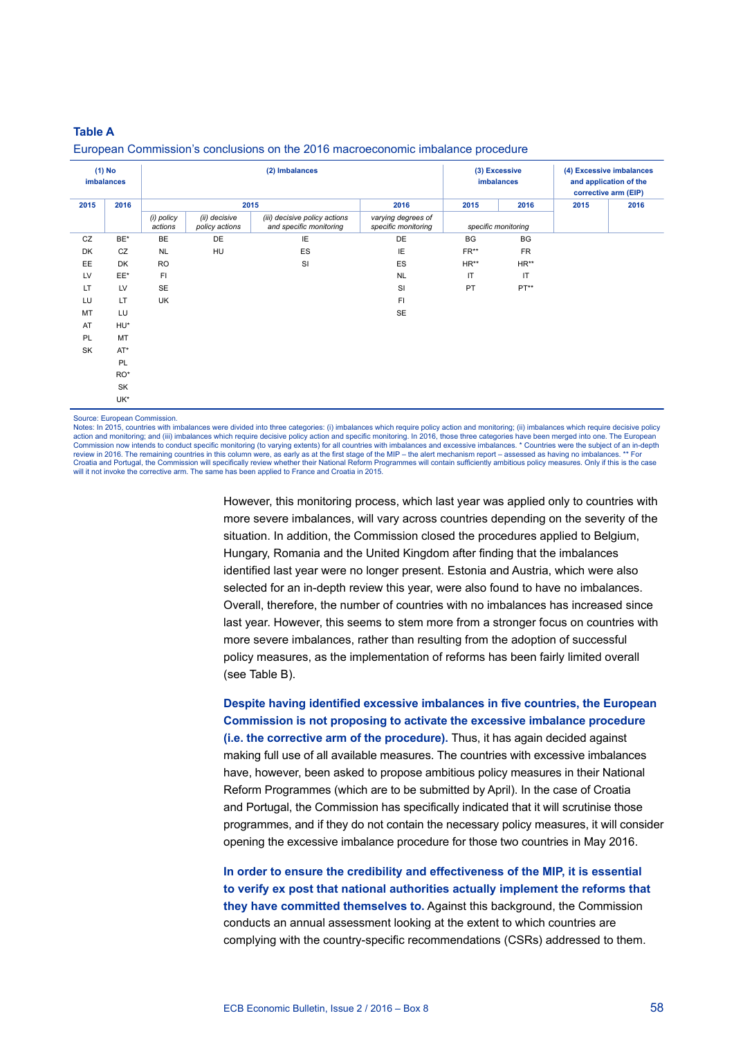### **Table a**

| $(1)$ No<br>imbalances |           | (2) Imbalances        |                                 |                                                          |                                           | (3) Excessive<br>imbalances |                     | (4) Excessive imbalances<br>and application of the<br>corrective arm (EIP) |      |
|------------------------|-----------|-----------------------|---------------------------------|----------------------------------------------------------|-------------------------------------------|-----------------------------|---------------------|----------------------------------------------------------------------------|------|
| 2015                   | 2016      | 2015                  |                                 |                                                          | 2016                                      | 2015                        | 2016                | 2015                                                                       | 2016 |
|                        |           | (i) policy<br>actions | (ii) decisive<br>policy actions | (iii) decisive policy actions<br>and specific monitoring | varying degrees of<br>specific monitoring |                             | specific monitoring |                                                                            |      |
| CZ                     | BE*       | BE                    | DE                              | IE                                                       | DE                                        | BG                          | BG                  |                                                                            |      |
| DK                     | CZ        | <b>NL</b>             | HU                              | ES                                                       | IE                                        | FR**                        | <b>FR</b>           |                                                                            |      |
| EE                     | <b>DK</b> | <b>RO</b>             |                                 | <b>SI</b>                                                | ES                                        | $HR**$                      | $HR**$              |                                                                            |      |
| LV                     | EE*       | FI                    |                                 |                                                          | <b>NL</b>                                 | $\mathsf{I}\mathsf{T}$      | IT                  |                                                                            |      |
| LT                     | LV        | SE                    |                                 |                                                          | SI                                        | PT                          | $PT**$              |                                                                            |      |
| LU                     | LT        | UK                    |                                 |                                                          | FI.                                       |                             |                     |                                                                            |      |
| MT                     | LU        |                       |                                 |                                                          | <b>SE</b>                                 |                             |                     |                                                                            |      |
| AT                     | HU*       |                       |                                 |                                                          |                                           |                             |                     |                                                                            |      |
| PL                     | MT        |                       |                                 |                                                          |                                           |                             |                     |                                                                            |      |
| SK                     | $AT^*$    |                       |                                 |                                                          |                                           |                             |                     |                                                                            |      |
|                        | PL        |                       |                                 |                                                          |                                           |                             |                     |                                                                            |      |
|                        | RO*       |                       |                                 |                                                          |                                           |                             |                     |                                                                            |      |
|                        | SK        |                       |                                 |                                                          |                                           |                             |                     |                                                                            |      |
|                        | UK*       |                       |                                 |                                                          |                                           |                             |                     |                                                                            |      |

#### European Commission's conclusions on the 2016 macroeconomic imbalance procedure

Source: European Commission.

Notes: In 2015, countries with imbalances were divided into three categories: (i) imbalances which require policy action and monitoring; (ii) imbalances which require decisive policy action and monitoring; and (iii) imbalances which require decisive policy action and specific monitoring. In 2016, those three categories have been merged into one. The European Commission now intends to conduct specific monitoring (to varying extents) for all countries with imbalances and excessive imbalances. \* Countries were the subject of an in-depth<br>review in 2016. The remaining countries in Croatia and Portugal, the Commission will specifically review whether their National Reform Programmes will contain sufficiently ambitious policy measures. Only if this is the case will it not invoke the corrective arm. The same has been applied to France and Croatia in 2015.

> However, this monitoring process, which last year was applied only to countries with more severe imbalances, will vary across countries depending on the severity of the situation. In addition, the Commission closed the procedures applied to Belgium, Hungary, Romania and the United Kingdom after finding that the imbalances identified last year were no longer present. Estonia and Austria, which were also selected for an in-depth review this year, were also found to have no imbalances. Overall, therefore, the number of countries with no imbalances has increased since last year. However, this seems to stem more from a stronger focus on countries with more severe imbalances, rather than resulting from the adoption of successful policy measures, as the implementation of reforms has been fairly limited overall (see Table B).

**Despite having identified excessive imbalances in five countries, the European Commission is not proposing to activate the excessive imbalance procedure (i.e. the corrective arm of the procedure).** Thus, it has again decided against making full use of all available measures. The countries with excessive imbalances have, however, been asked to propose ambitious policy measures in their National Reform Programmes (which are to be submitted by April). In the case of Croatia and Portugal, the Commission has specifically indicated that it will scrutinise those programmes, and if they do not contain the necessary policy measures, it will consider opening the excessive imbalance procedure for those two countries in May 2016.

**In order to ensure the credibility and effectiveness of the MIP, it is essential to verify ex post that national authorities actually implement the reforms that they have committed themselves to.** Against this background, the Commission conducts an annual assessment looking at the extent to which countries are complying with the country-specific recommendations (CSRs) addressed to them.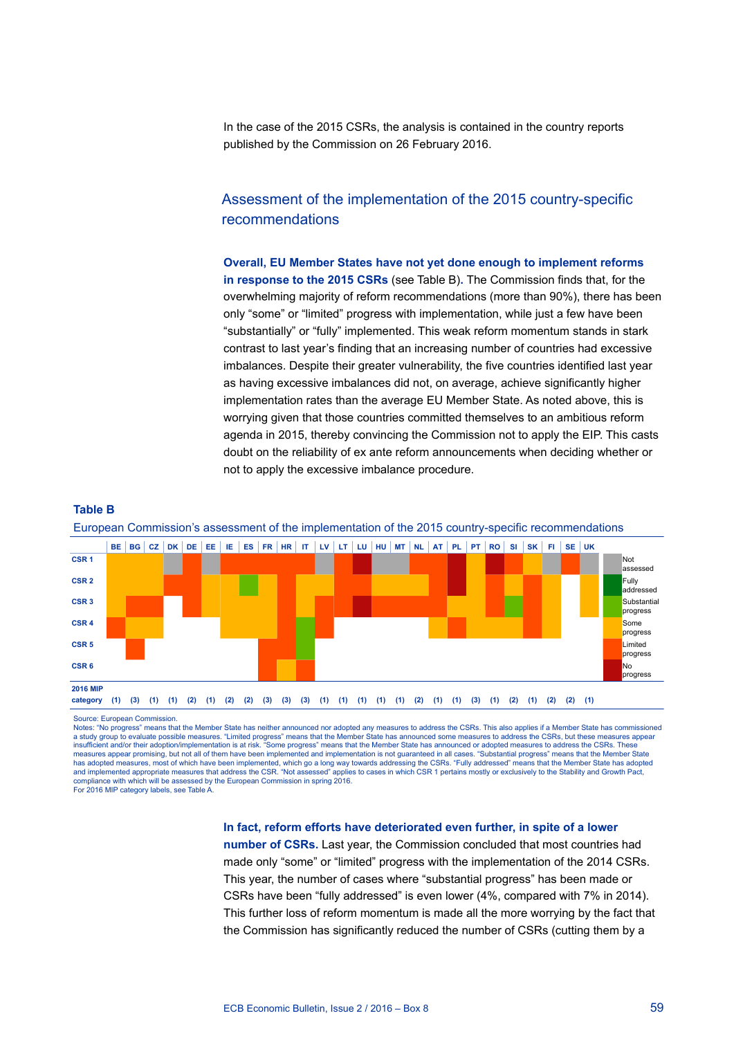In the case of the 2015 CSRs, the analysis is contained in the country reports published by the Commission on 26 February 2016.

# Assessment of the implementation of the 2015 country-specific recommendations

**Overall, EU Member States have not yet done enough to implement reforms in response to the 2015 CSRs** (see Table B)**.** The Commission finds that, for the overwhelming majority of reform recommendations (more than 90%), there has been only "some" or "limited" progress with implementation, while just a few have been "substantially" or "fully" implemented. This weak reform momentum stands in stark contrast to last year's finding that an increasing number of countries had excessive imbalances. Despite their greater vulnerability, the five countries identified last year as having excessive imbalances did not, on average, achieve significantly higher implementation rates than the average EU Member State. As noted above, this is worrying given that those countries committed themselves to an ambitious reform agenda in 2015, thereby convincing the Commission not to apply the EIP. This casts doubt on the reliability of ex ante reform announcements when deciding whether or not to apply the excessive imbalance procedure.



European Commission's assessment of the implementation of the 2015 country-specific recommendations

Source: European Commission.

**Table B**

Notes: "No progress" means that the Member State has neither announced nor adopted any measures to address the CSRs. This also applies if a Member State has commissioned a study group to evaluate possible measures. "Limited progress" means that the Member State has announced some measures to address the CSRs, but these measures appear<br>insufficient and/or their adoption/implementation is at measures appear promising, but not all of them have been implemented and implementation is not guaranteed in all cases. "Substantial progress" means that the Member State has adopted measures, most of which have been implemented, which go a long way towards addressing the CSRs. "Fully addressed" means that the Member State has adopted and implemented appropriate measures that address the CSR. "Not assessed" applies to cases in which CSR 1 pertains mostly or exclusively to the Stability and Growth Pact, ompliance with which will be assessed by the European Commission in spring 2016.

For 2016 MIP category labels, see Table A.

#### **In fact, reform efforts have deteriorated even further, in spite of a lower**

**number of CSRs.** Last year, the Commission concluded that most countries had made only "some" or "limited" progress with the implementation of the 2014 CSRs. This year, the number of cases where "substantial progress" has been made or CSRs have been "fully addressed" is even lower (4%, compared with 7% in 2014). This further loss of reform momentum is made all the more worrying by the fact that the Commission has significantly reduced the number of CSRs (cutting them by a